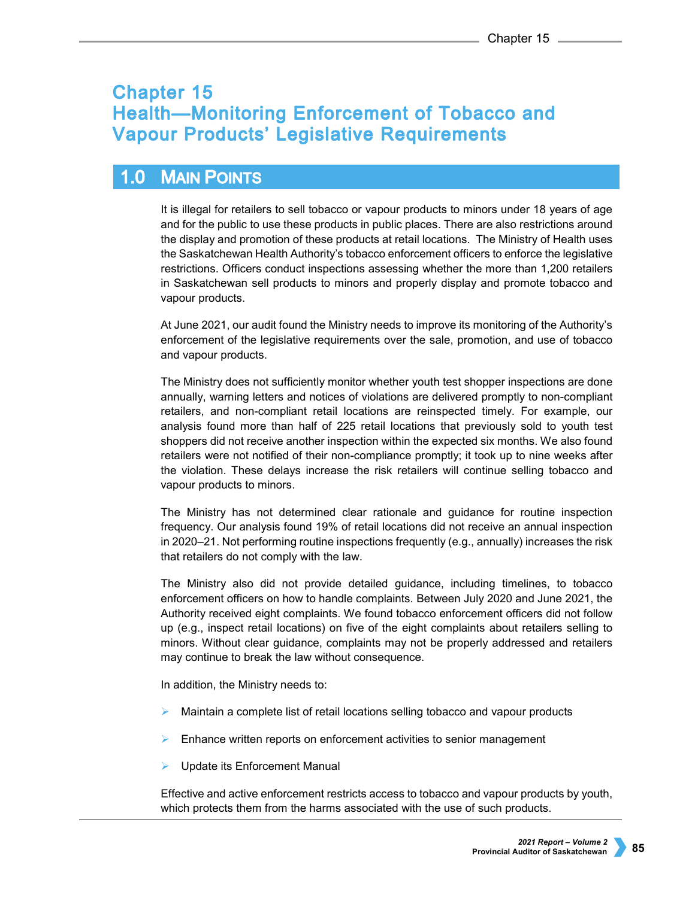# **Chapter 15 Health-Monitoring Enforcement of Tobacco and Vapour Products' Legislative Requirements**

#### $1.0$ **MAIN POINTS**

It is illegal for retailers to sell tobacco or vapour products to minors under 18 years of age and for the public to use these products in public places. There are also restrictions around the display and promotion of these products at retail locations. The Ministry of Health uses the Saskatchewan Health Authority's tobacco enforcement officers to enforce the legislative restrictions. Officers conduct inspections assessing whether the more than 1,200 retailers in Saskatchewan sell products to minors and properly display and promote tobacco and vapour products.

At June 2021, our audit found the Ministry needs to improve its monitoring of the Authority's enforcement of the legislative requirements over the sale, promotion, and use of tobacco and vapour products.

The Ministry does not sufficiently monitor whether youth test shopper inspections are done annually, warning letters and notices of violations are delivered promptly to non-compliant retailers, and non-compliant retail locations are reinspected timely. For example, our analysis found more than half of 225 retail locations that previously sold to youth test shoppers did not receive another inspection within the expected six months. We also found retailers were not notified of their non-compliance promptly; it took up to nine weeks after the violation. These delays increase the risk retailers will continue selling tobacco and vapour products to minors.

The Ministry has not determined clear rationale and guidance for routine inspection frequency. Our analysis found 19% of retail locations did not receive an annual inspection in 2020–21. Not performing routine inspections frequently (e.g., annually) increases the risk that retailers do not comply with the law.

The Ministry also did not provide detailed guidance, including timelines, to tobacco enforcement officers on how to handle complaints. Between July 2020 and June 2021, the Authority received eight complaints. We found tobacco enforcement officers did not follow up (e.g., inspect retail locations) on five of the eight complaints about retailers selling to minors. Without clear guidance, complaints may not be properly addressed and retailers may continue to break the law without consequence.

In addition, the Ministry needs to:

- $\triangleright$  Maintain a complete list of retail locations selling tobacco and vapour products
- Enhance written reports on enforcement activities to senior management
- Update its Enforcement Manual

Effective and active enforcement restricts access to tobacco and vapour products by youth, which protects them from the harms associated with the use of such products.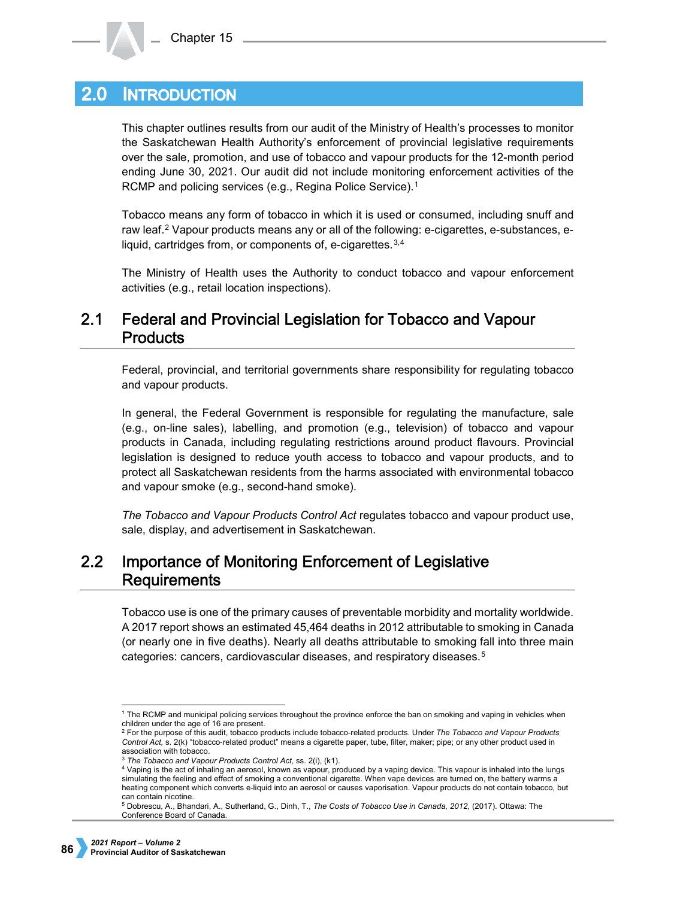#### **INTRODUCTION**  $2.0\,$

This chapter outlines results from our audit of the Ministry of Health's processes to monitor the Saskatchewan Health Authority's enforcement of provincial legislative requirements over the sale, promotion, and use of tobacco and vapour products for the 12-month period ending June 30, 2021. Our audit did not include monitoring enforcement activities of the RCMP and policing services (e.g., Regina Police Service).<sup>[1](#page-1-0)</sup>

Tobacco means any form of tobacco in which it is used or consumed, including snuff and raw leaf.[2](#page-1-1) Vapour products means any or all of the following: e-cigarettes, e-substances, e-liquid, cartridges from, or components of, e-cigarettes.<sup>[3,](#page-1-2)[4](#page-1-3)</sup>

The Ministry of Health uses the Authority to conduct tobacco and vapour enforcement activities (e.g., retail location inspections).

### $2.1$ Federal and Provincial Legislation for Tobacco and Vapour **Products**

Federal, provincial, and territorial governments share responsibility for regulating tobacco and vapour products.

In general, the Federal Government is responsible for regulating the manufacture, sale (e.g., on-line sales), labelling, and promotion (e.g., television) of tobacco and vapour products in Canada, including regulating restrictions around product flavours. Provincial legislation is designed to reduce youth access to tobacco and vapour products, and to protect all Saskatchewan residents from the harms associated with environmental tobacco and vapour smoke (e.g., second-hand smoke).

*The Tobacco and Vapour Products Control Act* regulates tobacco and vapour product use, sale, display, and advertisement in Saskatchewan.

## $2.2$ Importance of Monitoring Enforcement of Legislative **Requirements**

Tobacco use is one of the primary causes of preventable morbidity and mortality worldwide. A 2017 report shows an estimated 45,464 deaths in 2012 attributable to smoking in Canada (or nearly one in five deaths). Nearly all deaths attributable to smoking fall into three main categories: cancers, cardiovascular diseases, and respiratory diseases.[5](#page-1-4)

<span id="page-1-0"></span> <sup>1</sup> The RCMP and municipal policing services throughout the province enforce the ban on smoking and vaping in vehicles when children under the age of 16 are present.

<span id="page-1-1"></span><sup>2</sup> For the purpose of this audit, tobacco products include tobacco-related products. Under *The Tobacco and Vapour Products*  Control Act, s. 2(k) "tobacco-related product" means a cigarette paper, tube, filter, maker; pipe; or any other product used in association with tobacco.

<sup>3</sup> *The Tobacco and Vapour Products Control Act,* ss. 2(i), (k1).

<span id="page-1-3"></span><span id="page-1-2"></span><sup>4</sup> Vaping is the act of inhaling an aerosol, known as vapour, produced by a vaping device. This vapour is inhaled into the lungs simulating the feeling and effect of smoking a conventional cigarette. When vape devices are turned on, the battery warms a heating component which converts e-liquid into an aerosol or causes vaporisation. Vapour products do not contain tobacco, but can contain nicotine.

<span id="page-1-4"></span><sup>5</sup> Dobrescu, A., Bhandari, A., Sutherland, G., Dinh, T., *The Costs of Tobacco Use in Canada, 2012*, (2017). Ottawa: The Conference Board of Canada.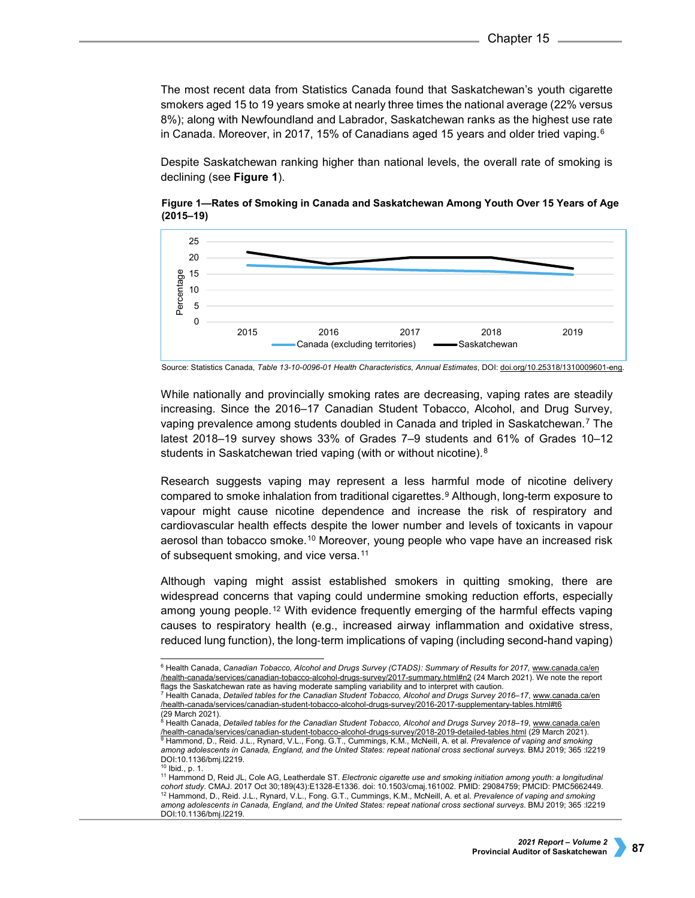The most recent data from Statistics Canada found that Saskatchewan's youth cigarette smokers aged 15 to 19 years smoke at nearly three times the national average (22% versus 8%); along with Newfoundland and Labrador, Saskatchewan ranks as the highest use rate in Canada. Moreover, in 2017, 15% of Canadians aged 15 years and older tried vaping.<sup>[6](#page-2-0)</sup>

Despite Saskatchewan ranking higher than national levels, the overall rate of smoking is declining (see **Figure 1**).



**Figure 1—Rates of Smoking in Canada and Saskatchewan Among Youth Over 15 Years of Age (2015–19)**

While nationally and provincially smoking rates are decreasing, vaping rates are steadily increasing. Since the 2016–17 Canadian Student Tobacco, Alcohol, and Drug Survey, vaping prevalence among students doubled in Canada and tripled in Saskatchewan.[7](#page-2-1) The latest 2018–19 survey shows 33% of Grades 7–9 students and 61% of Grades 10–12 students in Saskatchewan tried vaping (with or without nicotine).<sup>[8](#page-2-2)</sup>

Research suggests vaping may represent a less harmful mode of nicotine delivery compared to smoke inhalation from traditional cigarettes.[9](#page-2-3) Although, long-term exposure to vapour might cause nicotine dependence and increase the risk of respiratory and cardiovascular health effects despite the lower number and levels of toxicants in vapour aerosol than tobacco smoke.<sup>[10](#page-2-4)</sup> Moreover, young people who vape have an increased risk of subsequent smoking, and vice versa.<sup>[11](#page-2-5)</sup>

Although vaping might assist established smokers in quitting smoking, there are widespread concerns that vaping could undermine smoking reduction efforts, especially among young people.[12](#page-2-6) With evidence frequently emerging of the harmful effects vaping causes to respiratory health (e.g., increased airway inflammation and oxidative stress, reduced lung function), the long-term implications of vaping (including second-hand vaping)

Source: Statistics Canada, *Table 13-10-0096-01 Health Characteristics, Annual Estimates*, DOI[: doi.org/10.25318/1310009601-eng.](http://doi.org/10.25318/1310009601-eng) 

<span id="page-2-0"></span> <sup>6</sup> Health Canada, *Canadian Tobacco, Alcohol and Drugs Survey (CTADS): Summary of Results for 2017,* [www.canada.ca/en](http://www.canada.ca/en/health-canada/services/canadian-tobacco-alcohol-drugs-survey/2017-summary.html#n2)  [/health-canada/services/canadian-tobacco-alcohol-drugs-survey/2017-summary.html#n2](http://www.canada.ca/en/health-canada/services/canadian-tobacco-alcohol-drugs-survey/2017-summary.html#n2) (24 March 2021). We note the report flags the Saskatchewan rate as having moderate sampling variability and to interpret with caution. <sup>7</sup> Health Canada, *Detailed tables for the Canadian Student Tobacco, Alcohol and Drugs Survey 2016–17*[, www.canada.ca/en](http://www.canada.ca/en/health-canada/services/canadian-student-tobacco-alcohol-drugs-survey/2016-2017-supplementary-tables.html#t6)  [/health-canada/services/canadian-student-tobacco-alcohol-drugs-survey/2016-2017-supplementary-tables.html#t6](http://www.canada.ca/en/health-canada/services/canadian-student-tobacco-alcohol-drugs-survey/2016-2017-supplementary-tables.html#t6)

<span id="page-2-3"></span><span id="page-2-2"></span><span id="page-2-1"></span><sup>(29</sup> March 2021).<br><sup>8</sup> Health Canada, *Detailed tables for the Canadian Student Tobacco, Alcohol and Drugs Survey 2018–19, <u>www.canada.ca/en</u>* <u>[/health-canada/services/canadian-student-tobacco-alcohol-drugs-survey/2018-2019-detailed-tables.html](https://www.canada.ca/en/health-canada/services/canadian-student-tobacco-alcohol-drugs-survey/2018-2019-detailed-tables.html)</u> (29 March 2021).<br><sup>9</sup> Hammond, D., Reid. J.L., Rynard, V.L., Fong. G.T., Cummings, K.M., McNeill, A. et al. *Prevalence among adolescents in Canada, England, and the United States: repeat national cross sectional surveys.* BMJ 2019; 365 :l2219 DOI:10.1136/bmj.l2219.

<span id="page-2-6"></span><span id="page-2-5"></span><span id="page-2-4"></span><sup>10</sup> Ibid., p. 1. <sup>11</sup> Hammond D, Reid JL, Cole AG, Leatherdale ST. *Electronic cigarette use and smoking initiation among youth: a longitudinal cohort study.* CMAJ. 2017 Oct 30;189(43):E1328-E1336. doi: 10.1503/cmaj.161002. PMID: 29084759; PMCID: PMC5662449.<br><sup>12</sup> Hammond, D., Reid. J.L., Rynard, V.L., Fong. G.T., Cummings, K.M., McNeill, A. et al. *Prevalence of among adolescents in Canada, England, and the United States: repeat national cross sectional surveys*. BMJ 2019; 365 :l2219 DOI:10.1136/bmj.l2219.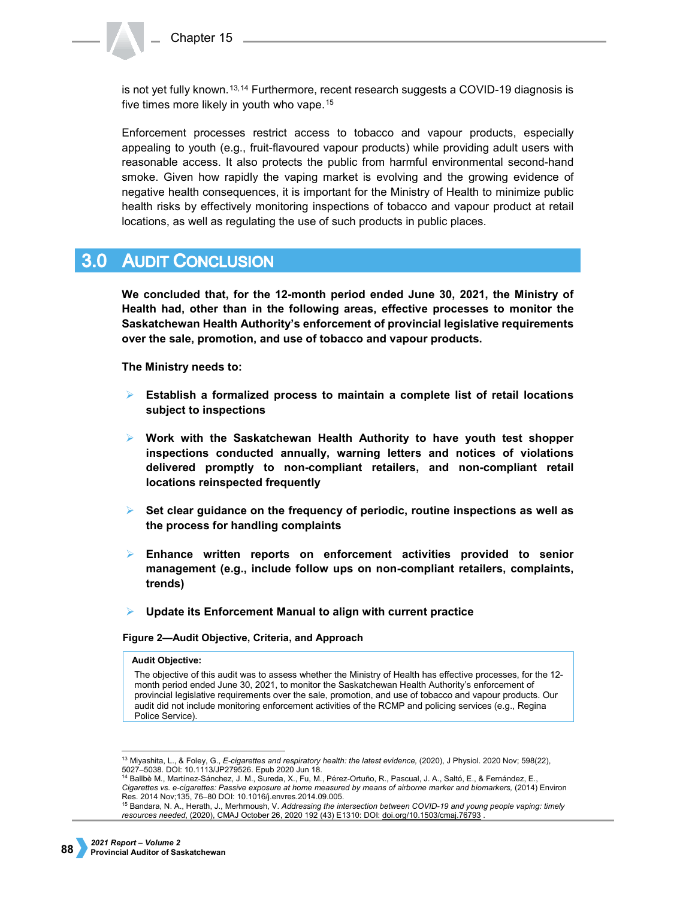is not yet fully known.<sup>[13,](#page-3-0)[14](#page-3-1)</sup> Furthermore, recent research suggests a COVID-19 diagnosis is five times more likely in youth who vape.[15](#page-3-2)

Enforcement processes restrict access to tobacco and vapour products, especially appealing to youth (e.g., fruit-flavoured vapour products) while providing adult users with reasonable access. It also protects the public from harmful environmental second-hand smoke. Given how rapidly the vaping market is evolving and the growing evidence of negative health consequences, it is important for the Ministry of Health to minimize public health risks by effectively monitoring inspections of tobacco and vapour product at retail locations, as well as regulating the use of such products in public places.

# **3.0 AUDIT CONCLUSION**

**We concluded that, for the 12-month period ended June 30, 2021, the Ministry of Health had, other than in the following areas, effective processes to monitor the Saskatchewan Health Authority's enforcement of provincial legislative requirements over the sale, promotion, and use of tobacco and vapour products.**

**The Ministry needs to:**

- **Establish a formalized process to maintain a complete list of retail locations subject to inspections**
- **Work with the Saskatchewan Health Authority to have youth test shopper inspections conducted annually, warning letters and notices of violations delivered promptly to non-compliant retailers, and non-compliant retail locations reinspected frequently**
- **Set clear guidance on the frequency of periodic, routine inspections as well as the process for handling complaints**
- **Enhance written reports on enforcement activities provided to senior management (e.g., include follow ups on non-compliant retailers, complaints, trends)**
- **Update its Enforcement Manual to align with current practice**

**Figure 2—Audit Objective, Criteria, and Approach** 

### **Audit Objective:**

The objective of this audit was to assess whether the Ministry of Health has effective processes, for the 12 month period ended June 30, 2021, to monitor the Saskatchewan Health Authority's enforcement of provincial legislative requirements over the sale, promotion, and use of tobacco and vapour products. Our audit did not include monitoring enforcement activities of the RCMP and policing services (e.g., Regina Police Service).

<span id="page-3-0"></span> <sup>13</sup> Miyashita, L., & Foley, G., *E-cigarettes and respiratory health: the latest evidence,* (2020), J Physiol. 2020 Nov; 598(22),

<span id="page-3-1"></span><sup>&</sup>lt;sup>14</sup> Ballbè M., Martínez-Sánchez, J. M., Sureda, X., Fu, M., Pérez-Ortuño, R., Pascual, J. A., Saltó, E., & Fernández, E., Cigarettes vs. e-cigarettes: Passive exposure at home measured by means of airborne marker and biomarkers, (2014) Environ Res. 2014 Nov;135, 76–80 DOI: 10.1016/j.envres.2014.09.005.

<span id="page-3-2"></span><sup>15</sup> Bandara, N. A., Herath, J., Merhrnoush, V. *Addressing the intersection between COVID-19 and young people vaping: timely resources needed*, (2020), CMAJ October 26, 2020 192 (43) E1310: DOI: [doi.org/10.1503/cmaj.76793](https://doi.org/10.1503/cmaj.76793) .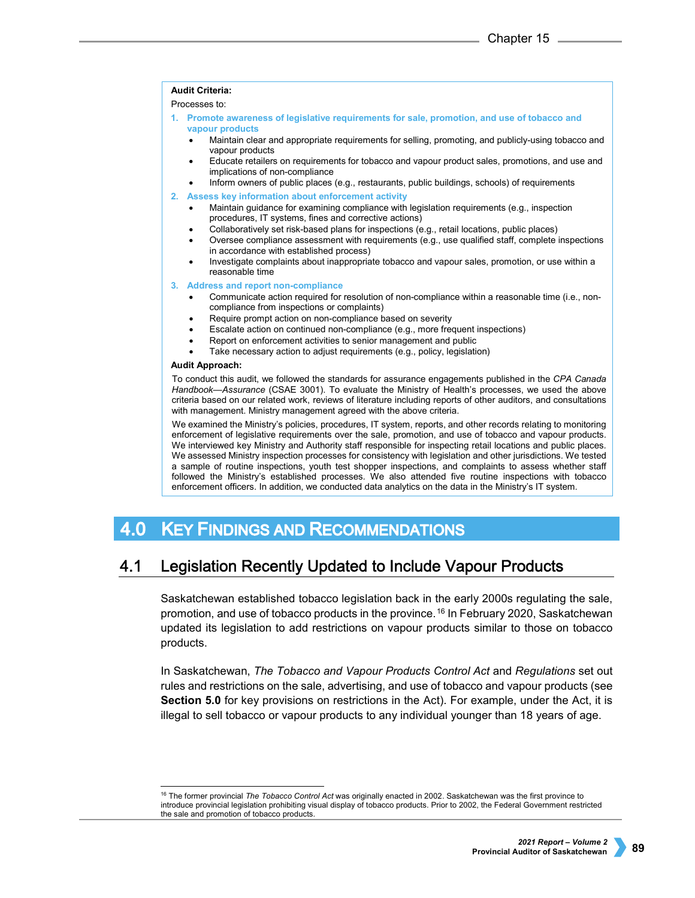### **Audit Criteria:**

Processes to:

- **1. Promote awareness of legislative requirements for sale, promotion, and use of tobacco and vapour products**
	- Maintain clear and appropriate requirements for selling, promoting, and publicly-using tobacco and vapour products
	- Educate retailers on requirements for tobacco and vapour product sales, promotions, and use and implications of non-compliance
	- Inform owners of public places (e.g., restaurants, public buildings, schools) of requirements
- **2. Assess key information about enforcement activity** 
	- Maintain guidance for examining compliance with legislation requirements (e.g., inspection procedures, IT systems, fines and corrective actions)
	- Collaboratively set risk-based plans for inspections (e.g., retail locations, public places)
	- Oversee compliance assessment with requirements (e.g., use qualified staff, complete inspections in accordance with established process)
	- Investigate complaints about inappropriate tobacco and vapour sales, promotion, or use within a reasonable time

### **3. Address and report non-compliance**

- Communicate action required for resolution of non-compliance within a reasonable time (i.e., noncompliance from inspections or complaints)
- Require prompt action on non-compliance based on severity
- Escalate action on continued non-compliance (e.g., more frequent inspections)
- Report on enforcement activities to senior management and public
- Take necessary action to adjust requirements (e.g., policy, legislation)

### **Audit Approach:**

To conduct this audit, we followed the standards for assurance engagements published in the *CPA Canada Handbook—Assurance* (CSAE 3001). To evaluate the Ministry of Health's processes, we used the above criteria based on our related work, reviews of literature including reports of other auditors, and consultations with management. Ministry management agreed with the above criteria.

We examined the Ministry's policies, procedures, IT system, reports, and other records relating to monitoring enforcement of legislative requirements over the sale, promotion, and use of tobacco and vapour products. We interviewed key Ministry and Authority staff responsible for inspecting retail locations and public places. We assessed Ministry inspection processes for consistency with legislation and other jurisdictions. We tested a sample of routine inspections, youth test shopper inspections, and complaints to assess whether staff followed the Ministry's established processes. We also attended five routine inspections with tobacco enforcement officers. In addition, we conducted data analytics on the data in the Ministry's IT system.

#### 4.0 **KEY FINDINGS AND RECOMMENDATIONS**

#### 4.1 Legislation Recently Updated to Include Vapour Products

Saskatchewan established tobacco legislation back in the early 2000s regulating the sale, promotion, and use of tobacco products in the province.[16](#page-4-0) In February 2020, Saskatchewan updated its legislation to add restrictions on vapour products similar to those on tobacco products.

In Saskatchewan, *The Tobacco and Vapour Products Control Act* and *Regulations* set out rules and restrictions on the sale, advertising, and use of tobacco and vapour products (see **Section 5.0** for key provisions on restrictions in the Act). For example, under the Act, it is illegal to sell tobacco or vapour products to any individual younger than 18 years of age.

<span id="page-4-0"></span> <sup>16</sup> The former provincial *The Tobacco Control Act* was originally enacted in 2002. Saskatchewan was the first province to introduce provincial legislation prohibiting visual display of tobacco products. Prior to 2002, the Federal Government restricted the sale and promotion of tobacco products.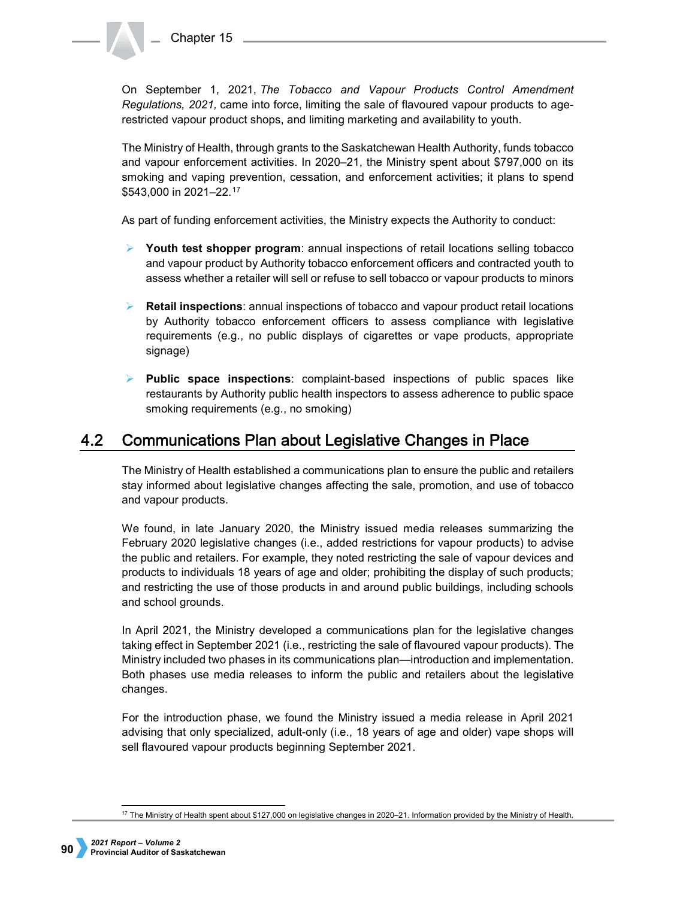Chapter 15

On September 1, 2021, *The Tobacco and Vapour Products Control Amendment Regulations, 2021,* came into force, limiting the sale of flavoured vapour products to agerestricted vapour product shops, and limiting marketing and availability to youth.

The Ministry of Health, through grants to the Saskatchewan Health Authority, funds tobacco and vapour enforcement activities. In 2020–21, the Ministry spent about \$797,000 on its smoking and vaping prevention, cessation, and enforcement activities; it plans to spend \$543,000 in 2021–22.[17](#page-5-0)

As part of funding enforcement activities, the Ministry expects the Authority to conduct:

- **Youth test shopper program**: annual inspections of retail locations selling tobacco and vapour product by Authority tobacco enforcement officers and contracted youth to assess whether a retailer will sell or refuse to sell tobacco or vapour products to minors
- **Retail inspections**: annual inspections of tobacco and vapour product retail locations by Authority tobacco enforcement officers to assess compliance with legislative requirements (e.g., no public displays of cigarettes or vape products, appropriate signage)
- **Public space inspections**: complaint-based inspections of public spaces like restaurants by Authority public health inspectors to assess adherence to public space smoking requirements (e.g., no smoking)

#### **Communications Plan about Legislative Changes in Place** 4.2

The Ministry of Health established a communications plan to ensure the public and retailers stay informed about legislative changes affecting the sale, promotion, and use of tobacco and vapour products.

We found, in late January 2020, the Ministry issued media releases summarizing the February 2020 legislative changes (i.e., added restrictions for vapour products) to advise the public and retailers. For example, they noted restricting the sale of vapour devices and products to individuals 18 years of age and older; prohibiting the display of such products; and restricting the use of those products in and around public buildings, including schools and school grounds.

In April 2021, the Ministry developed a communications plan for the legislative changes taking effect in September 2021 (i.e., restricting the sale of flavoured vapour products). The Ministry included two phases in its communications plan—introduction and implementation. Both phases use media releases to inform the public and retailers about the legislative changes.

For the introduction phase, we found the Ministry issued a media release in April 2021 advising that only specialized, adult-only (i.e., 18 years of age and older) vape shops will sell flavoured vapour products beginning September 2021.

<span id="page-5-0"></span> <sup>17</sup> The Ministry of Health spent about \$127,000 on legislative changes in 2020–21. Information provided by the Ministry of Health.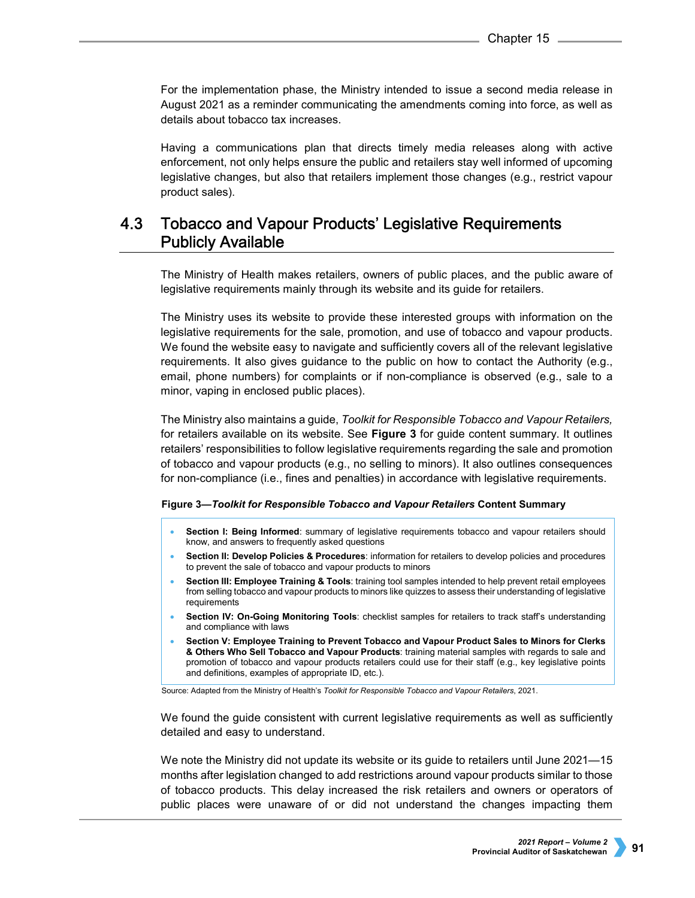For the implementation phase, the Ministry intended to issue a second media release in August 2021 as a reminder communicating the amendments coming into force, as well as details about tobacco tax increases.

Having a communications plan that directs timely media releases along with active enforcement, not only helps ensure the public and retailers stay well informed of upcoming legislative changes, but also that retailers implement those changes (e.g., restrict vapour product sales).

## $4.3$ **Tobacco and Vapour Products' Legislative Requirements Publicly Available**

The Ministry of Health makes retailers, owners of public places, and the public aware of legislative requirements mainly through its website and its guide for retailers.

The Ministry uses its website to provide these interested groups with information on the legislative requirements for the sale, promotion, and use of tobacco and vapour products. We found the website easy to navigate and sufficiently covers all of the relevant legislative requirements. It also gives guidance to the public on how to contact the Authority (e.g., email, phone numbers) for complaints or if non-compliance is observed (e.g., sale to a minor, vaping in enclosed public places).

The Ministry also maintains a guide, *Toolkit for Responsible Tobacco and Vapour Retailers,* for retailers available on its website. See **Figure 3** for guide content summary. It outlines retailers' responsibilities to follow legislative requirements regarding the sale and promotion of tobacco and vapour products (e.g., no selling to minors). It also outlines consequences for non-compliance (i.e., fines and penalties) in accordance with legislative requirements.

## **Figure 3—***Toolkit for Responsible Tobacco and Vapour Retailers* **Content Summary**

- **Section I: Being Informed:** summary of legislative requirements tobacco and vapour retailers should know, and answers to frequently asked questions
- **Section II: Develop Policies & Procedures**: information for retailers to develop policies and procedures to prevent the sale of tobacco and vapour products to minors
- **Section III: Employee Training & Tools**: training tool samples intended to help prevent retail employees from selling tobacco and vapour products to minors like quizzes to assess their understanding of legislative requirements
- **Section IV: On-Going Monitoring Tools**: checklist samples for retailers to track staff's understanding and compliance with laws
- **Section V: Employee Training to Prevent Tobacco and Vapour Product Sales to Minors for Clerks & Others Who Sell Tobacco and Vapour Products**: training material samples with regards to sale and promotion of tobacco and vapour products retailers could use for their staff (e.g., key legislative points and definitions, examples of appropriate ID, etc.).

Source: Adapted from the Ministry of Health's *Toolkit for Responsible Tobacco and Vapour Retailers*, 2021.

We found the guide consistent with current legislative requirements as well as sufficiently detailed and easy to understand.

We note the Ministry did not update its website or its guide to retailers until June 2021—15 months after legislation changed to add restrictions around vapour products similar to those of tobacco products. This delay increased the risk retailers and owners or operators of public places were unaware of or did not understand the changes impacting them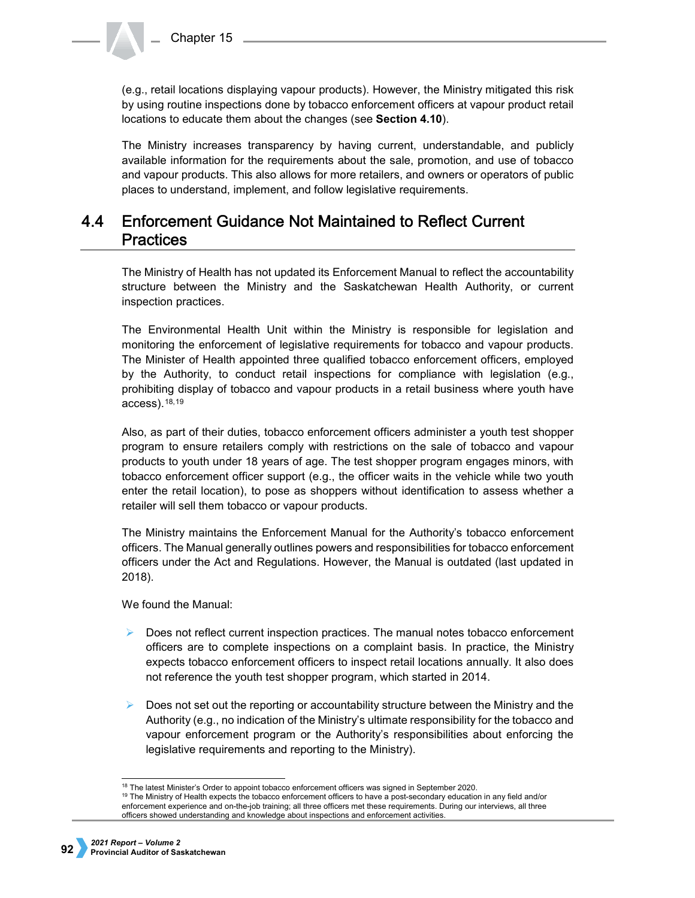(e.g., retail locations displaying vapour products). However, the Ministry mitigated this risk by using routine inspections done by tobacco enforcement officers at vapour product retail locations to educate them about the changes (see **Section 4.10**).

The Ministry increases transparency by having current, understandable, and publicly available information for the requirements about the sale, promotion, and use of tobacco and vapour products. This also allows for more retailers, and owners or operators of public places to understand, implement, and follow legislative requirements.

## $4.4$ **Enforcement Guidance Not Maintained to Reflect Current Practices**

The Ministry of Health has not updated its Enforcement Manual to reflect the accountability structure between the Ministry and the Saskatchewan Health Authority, or current inspection practices.

The Environmental Health Unit within the Ministry is responsible for legislation and monitoring the enforcement of legislative requirements for tobacco and vapour products. The Minister of Health appointed three qualified tobacco enforcement officers, employed by the Authority, to conduct retail inspections for compliance with legislation (e.g., prohibiting display of tobacco and vapour products in a retail business where youth have access).[18](#page-7-0),[19](#page-7-1)

Also, as part of their duties, tobacco enforcement officers administer a youth test shopper program to ensure retailers comply with restrictions on the sale of tobacco and vapour products to youth under 18 years of age. The test shopper program engages minors, with tobacco enforcement officer support (e.g., the officer waits in the vehicle while two youth enter the retail location), to pose as shoppers without identification to assess whether a retailer will sell them tobacco or vapour products.

The Ministry maintains the Enforcement Manual for the Authority's tobacco enforcement officers. The Manual generally outlines powers and responsibilities for tobacco enforcement officers under the Act and Regulations. However, the Manual is outdated (last updated in 2018).

We found the Manual:

- Does not reflect current inspection practices. The manual notes tobacco enforcement officers are to complete inspections on a complaint basis. In practice, the Ministry expects tobacco enforcement officers to inspect retail locations annually. It also does not reference the youth test shopper program, which started in 2014.
- Does not set out the reporting or accountability structure between the Ministry and the Authority (e.g., no indication of the Ministry's ultimate responsibility for the tobacco and vapour enforcement program or the Authority's responsibilities about enforcing the legislative requirements and reporting to the Ministry).

<sup>&</sup>lt;sup>18</sup> The latest Minister's Order to appoint tobacco enforcement officers was signed in September 2020.<br><sup>19</sup> The Ministry of Health expects the tobacco enforcement officers to have a post-secondary education in any field an

<span id="page-7-1"></span><span id="page-7-0"></span>enforcement experience and on-the-job training; all three officers met these requirements. During our interviews, all three officers showed understanding and knowledge about inspections and enforcement activities.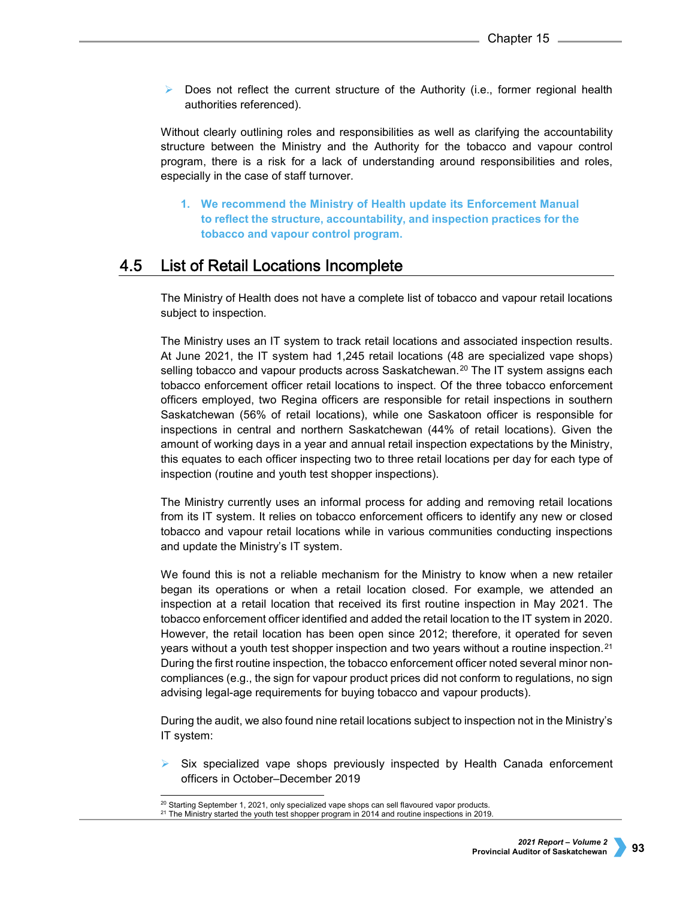$\triangleright$  Does not reflect the current structure of the Authority (i.e., former regional health authorities referenced).

Without clearly outlining roles and responsibilities as well as clarifying the accountability structure between the Ministry and the Authority for the tobacco and vapour control program, there is a risk for a lack of understanding around responsibilities and roles, especially in the case of staff turnover.

**1. We recommend the Ministry of Health update its Enforcement Manual to reflect the structure, accountability, and inspection practices for the tobacco and vapour control program.**

#### 4.5 List of Retail Locations Incomplete

The Ministry of Health does not have a complete list of tobacco and vapour retail locations subject to inspection.

The Ministry uses an IT system to track retail locations and associated inspection results. At June 2021, the IT system had 1,245 retail locations (48 are specialized vape shops) selling tobacco and vapour products across Saskatchewan.<sup>[20](#page-8-0)</sup> The IT system assigns each tobacco enforcement officer retail locations to inspect. Of the three tobacco enforcement officers employed, two Regina officers are responsible for retail inspections in southern Saskatchewan (56% of retail locations), while one Saskatoon officer is responsible for inspections in central and northern Saskatchewan (44% of retail locations). Given the amount of working days in a year and annual retail inspection expectations by the Ministry, this equates to each officer inspecting two to three retail locations per day for each type of inspection (routine and youth test shopper inspections).

The Ministry currently uses an informal process for adding and removing retail locations from its IT system. It relies on tobacco enforcement officers to identify any new or closed tobacco and vapour retail locations while in various communities conducting inspections and update the Ministry's IT system.

We found this is not a reliable mechanism for the Ministry to know when a new retailer began its operations or when a retail location closed. For example, we attended an inspection at a retail location that received its first routine inspection in May 2021. The tobacco enforcement officer identified and added the retail location to the IT system in 2020. However, the retail location has been open since 2012; therefore, it operated for seven years without a youth test shopper inspection and two years without a routine inspection.[21](#page-8-1) During the first routine inspection, the tobacco enforcement officer noted several minor noncompliances (e.g., the sign for vapour product prices did not conform to regulations, no sign advising legal-age requirements for buying tobacco and vapour products).

During the audit, we also found nine retail locations subject to inspection not in the Ministry's IT system:

 Six specialized vape shops previously inspected by Health Canada enforcement officers in October–December 2019

<span id="page-8-1"></span><span id="page-8-0"></span><sup>&</sup>lt;sup>20</sup> Starting September 1, 2021, only specialized vape shops can sell flavoured vapor products.<br><sup>21</sup> The Ministry started the youth test shopper program in 2014 and routine inspections in 2019.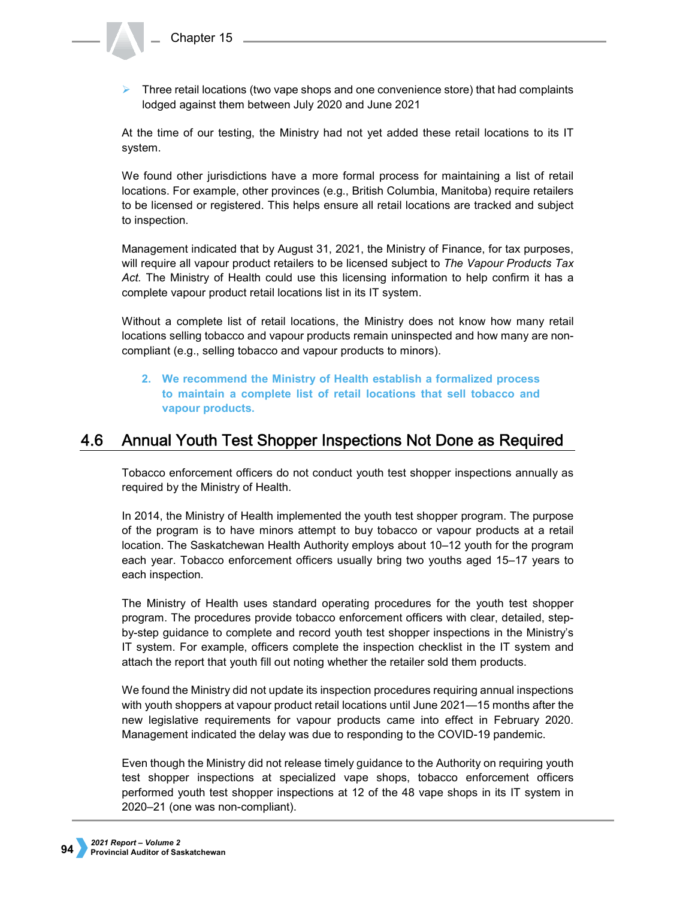$\triangleright$  Three retail locations (two vape shops and one convenience store) that had complaints lodged against them between July 2020 and June 2021

At the time of our testing, the Ministry had not yet added these retail locations to its IT system.

We found other jurisdictions have a more formal process for maintaining a list of retail locations. For example, other provinces (e.g., British Columbia, Manitoba) require retailers to be licensed or registered. This helps ensure all retail locations are tracked and subject to inspection.

Management indicated that by August 31, 2021, the Ministry of Finance, for tax purposes, will require all vapour product retailers to be licensed subject to *The Vapour Products Tax Act.* The Ministry of Health could use this licensing information to help confirm it has a complete vapour product retail locations list in its IT system.

Without a complete list of retail locations, the Ministry does not know how many retail locations selling tobacco and vapour products remain uninspected and how many are noncompliant (e.g., selling tobacco and vapour products to minors).

**2. We recommend the Ministry of Health establish a formalized process to maintain a complete list of retail locations that sell tobacco and vapour products.**

#### Annual Youth Test Shopper Inspections Not Done as Required 4.6

Tobacco enforcement officers do not conduct youth test shopper inspections annually as required by the Ministry of Health.

In 2014, the Ministry of Health implemented the youth test shopper program. The purpose of the program is to have minors attempt to buy tobacco or vapour products at a retail location. The Saskatchewan Health Authority employs about 10–12 youth for the program each year. Tobacco enforcement officers usually bring two youths aged 15–17 years to each inspection.

The Ministry of Health uses standard operating procedures for the youth test shopper program. The procedures provide tobacco enforcement officers with clear, detailed, stepby-step guidance to complete and record youth test shopper inspections in the Ministry's IT system. For example, officers complete the inspection checklist in the IT system and attach the report that youth fill out noting whether the retailer sold them products.

We found the Ministry did not update its inspection procedures requiring annual inspections with youth shoppers at vapour product retail locations until June 2021—15 months after the new legislative requirements for vapour products came into effect in February 2020. Management indicated the delay was due to responding to the COVID-19 pandemic.

Even though the Ministry did not release timely guidance to the Authority on requiring youth test shopper inspections at specialized vape shops, tobacco enforcement officers performed youth test shopper inspections at 12 of the 48 vape shops in its IT system in 2020–21 (one was non-compliant).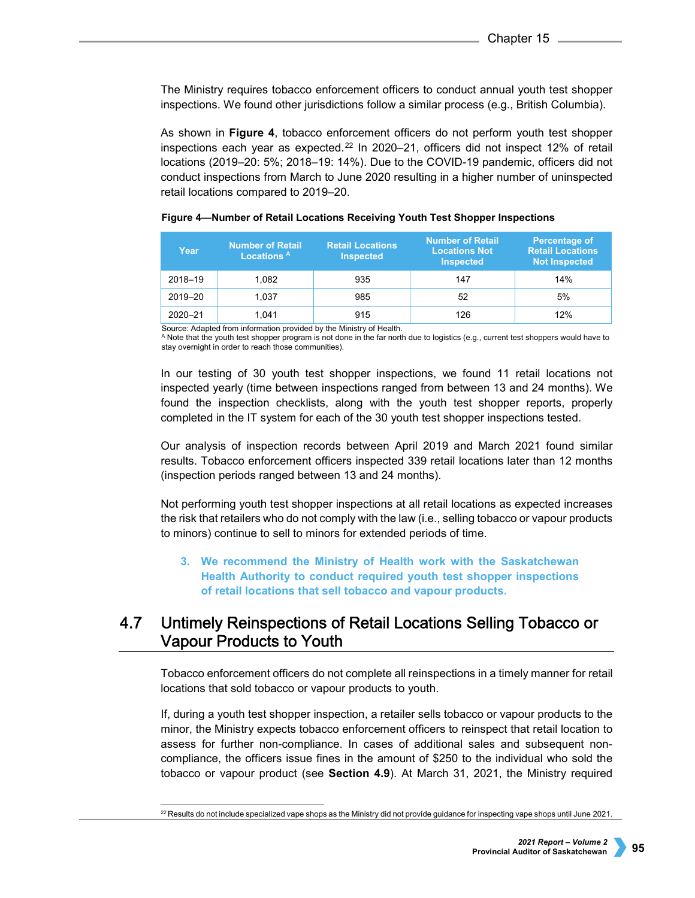The Ministry requires tobacco enforcement officers to conduct annual youth test shopper inspections. We found other jurisdictions follow a similar process (e.g., British Columbia).

As shown in **Figure 4**, tobacco enforcement officers do not perform youth test shopper inspections each year as expected.[22](#page-10-0) In 2020–21, officers did not inspect 12% of retail locations (2019–20: 5%; 2018–19: 14%). Due to the COVID-19 pandemic, officers did not conduct inspections from March to June 2020 resulting in a higher number of uninspected retail locations compared to 2019–20.

| Year        | <b>Number of Retail</b><br>Locations <sup>A</sup> | <b>Retail Locations</b><br><b>Inspected</b> | <b>Number of Retail</b><br><b>Locations Not</b><br><b>Inspected</b> | <b>Percentage of</b><br><b>Retail Locations</b><br><b>Not Inspected</b> |
|-------------|---------------------------------------------------|---------------------------------------------|---------------------------------------------------------------------|-------------------------------------------------------------------------|
| 2018-19     | 1.082                                             | 935                                         | 147                                                                 | 14%                                                                     |
| 2019-20     | 1.037                                             | 985                                         | 52                                                                  | 5%                                                                      |
| $2020 - 21$ | 1.041                                             | 915                                         | 126                                                                 | 12%                                                                     |

## **Figure 4—Number of Retail Locations Receiving Youth Test Shopper Inspections**

Source: Adapted from information provided by the Ministry of Health.

A Note that the youth test shopper program is not done in the far north due to logistics (e.g., current test shoppers would have to stay overnight in order to reach those communities).

In our testing of 30 youth test shopper inspections, we found 11 retail locations not inspected yearly (time between inspections ranged from between 13 and 24 months). We found the inspection checklists, along with the youth test shopper reports, properly completed in the IT system for each of the 30 youth test shopper inspections tested.

Our analysis of inspection records between April 2019 and March 2021 found similar results. Tobacco enforcement officers inspected 339 retail locations later than 12 months (inspection periods ranged between 13 and 24 months).

Not performing youth test shopper inspections at all retail locations as expected increases the risk that retailers who do not comply with the law (i.e., selling tobacco or vapour products to minors) continue to sell to minors for extended periods of time.

**3. We recommend the Ministry of Health work with the Saskatchewan Health Authority to conduct required youth test shopper inspections of retail locations that sell tobacco and vapour products.**

## 4.7 Untimely Reinspections of Retail Locations Selling Tobacco or **Vapour Products to Youth**

Tobacco enforcement officers do not complete all reinspections in a timely manner for retail locations that sold tobacco or vapour products to youth.

If, during a youth test shopper inspection, a retailer sells tobacco or vapour products to the minor, the Ministry expects tobacco enforcement officers to reinspect that retail location to assess for further non-compliance. In cases of additional sales and subsequent noncompliance, the officers issue fines in the amount of \$250 to the individual who sold the tobacco or vapour product (see **Section 4.9**). At March 31, 2021, the Ministry required

<span id="page-10-0"></span> $^{22}$  Results do not include specialized vape shops as the Ministry did not provide guidance for inspecting vape shops until June 2021.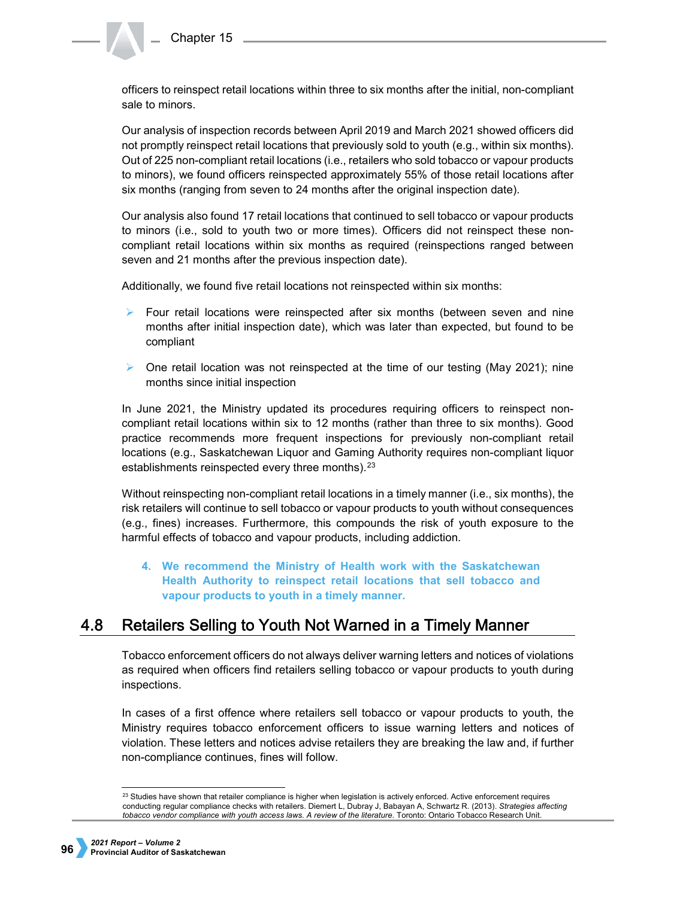officers to reinspect retail locations within three to six months after the initial, non-compliant sale to minors.

Our analysis of inspection records between April 2019 and March 2021 showed officers did not promptly reinspect retail locations that previously sold to youth (e.g., within six months). Out of 225 non-compliant retail locations (i.e., retailers who sold tobacco or vapour products to minors), we found officers reinspected approximately 55% of those retail locations after six months (ranging from seven to 24 months after the original inspection date).

Our analysis also found 17 retail locations that continued to sell tobacco or vapour products to minors (i.e., sold to youth two or more times). Officers did not reinspect these noncompliant retail locations within six months as required (reinspections ranged between seven and 21 months after the previous inspection date).

Additionally, we found five retail locations not reinspected within six months:

- $\triangleright$  Four retail locations were reinspected after six months (between seven and nine months after initial inspection date), which was later than expected, but found to be compliant
- $\triangleright$  One retail location was not reinspected at the time of our testing (May 2021); nine months since initial inspection

In June 2021, the Ministry updated its procedures requiring officers to reinspect noncompliant retail locations within six to 12 months (rather than three to six months). Good practice recommends more frequent inspections for previously non-compliant retail locations (e.g., Saskatchewan Liquor and Gaming Authority requires non-compliant liquor establishments reinspected every three months).<sup>[23](#page-11-0)</sup>

Without reinspecting non-compliant retail locations in a timely manner (i.e., six months), the risk retailers will continue to sell tobacco or vapour products to youth without consequences (e.g., fines) increases. Furthermore, this compounds the risk of youth exposure to the harmful effects of tobacco and vapour products, including addiction.

**4. We recommend the Ministry of Health work with the Saskatchewan Health Authority to reinspect retail locations that sell tobacco and vapour products to youth in a timely manner.**

#### $4.8$ Retailers Selling to Youth Not Warned in a Timely Manner

Tobacco enforcement officers do not always deliver warning letters and notices of violations as required when officers find retailers selling tobacco or vapour products to youth during inspections.

In cases of a first offence where retailers sell tobacco or vapour products to youth, the Ministry requires tobacco enforcement officers to issue warning letters and notices of violation. These letters and notices advise retailers they are breaking the law and, if further non-compliance continues, fines will follow.

<span id="page-11-0"></span> $^{23}$  Studies have shown that retailer compliance is higher when legislation is actively enforced. Active enforcement requires conducting regular compliance checks with retailers. Diemert L, Dubray J, Babayan A, Schwartz R. (2013). *Strategies affecting tobacco vendor compliance with youth access laws. A review of the literature*. Toronto: Ontario Tobacco Research Unit.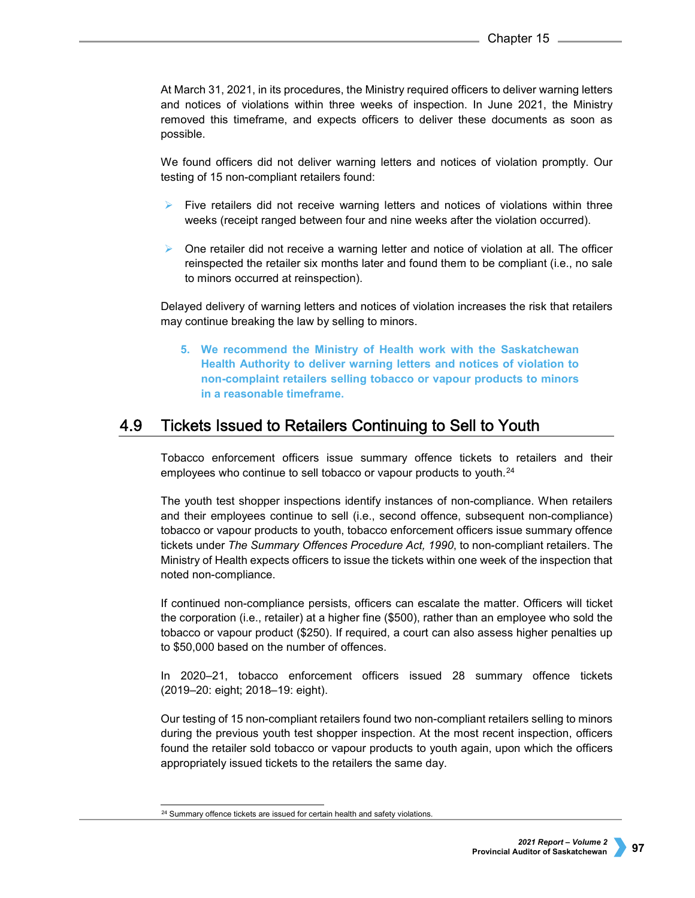At March 31, 2021, in its procedures, the Ministry required officers to deliver warning letters and notices of violations within three weeks of inspection. In June 2021, the Ministry removed this timeframe, and expects officers to deliver these documents as soon as possible.

We found officers did not deliver warning letters and notices of violation promptly. Our testing of 15 non-compliant retailers found:

- Five retailers did not receive warning letters and notices of violations within three weeks (receipt ranged between four and nine weeks after the violation occurred).
- $\triangleright$  One retailer did not receive a warning letter and notice of violation at all. The officer reinspected the retailer six months later and found them to be compliant (i.e., no sale to minors occurred at reinspection).

Delayed delivery of warning letters and notices of violation increases the risk that retailers may continue breaking the law by selling to minors.

**5. We recommend the Ministry of Health work with the Saskatchewan Health Authority to deliver warning letters and notices of violation to non-complaint retailers selling tobacco or vapour products to minors in a reasonable timeframe.** 

#### 4.9 Tickets Issued to Retailers Continuing to Sell to Youth

Tobacco enforcement officers issue summary offence tickets to retailers and their employees who continue to sell tobacco or vapour products to youth.<sup>[24](#page-12-0)</sup>

The youth test shopper inspections identify instances of non-compliance. When retailers and their employees continue to sell (i.e., second offence, subsequent non-compliance) tobacco or vapour products to youth, tobacco enforcement officers issue summary offence tickets under *The Summary Offences Procedure Act, 1990*, to non-compliant retailers. The Ministry of Health expects officers to issue the tickets within one week of the inspection that noted non-compliance.

If continued non-compliance persists, officers can escalate the matter. Officers will ticket the corporation (i.e., retailer) at a higher fine (\$500), rather than an employee who sold the tobacco or vapour product (\$250). If required, a court can also assess higher penalties up to \$50,000 based on the number of offences.

In 2020–21, tobacco enforcement officers issued 28 summary offence tickets (2019–20: eight; 2018–19: eight).

Our testing of 15 non-compliant retailers found two non-compliant retailers selling to minors during the previous youth test shopper inspection. At the most recent inspection, officers found the retailer sold tobacco or vapour products to youth again, upon which the officers appropriately issued tickets to the retailers the same day.

<span id="page-12-0"></span><sup>&</sup>lt;sup>24</sup> Summary offence tickets are issued for certain health and safety violations.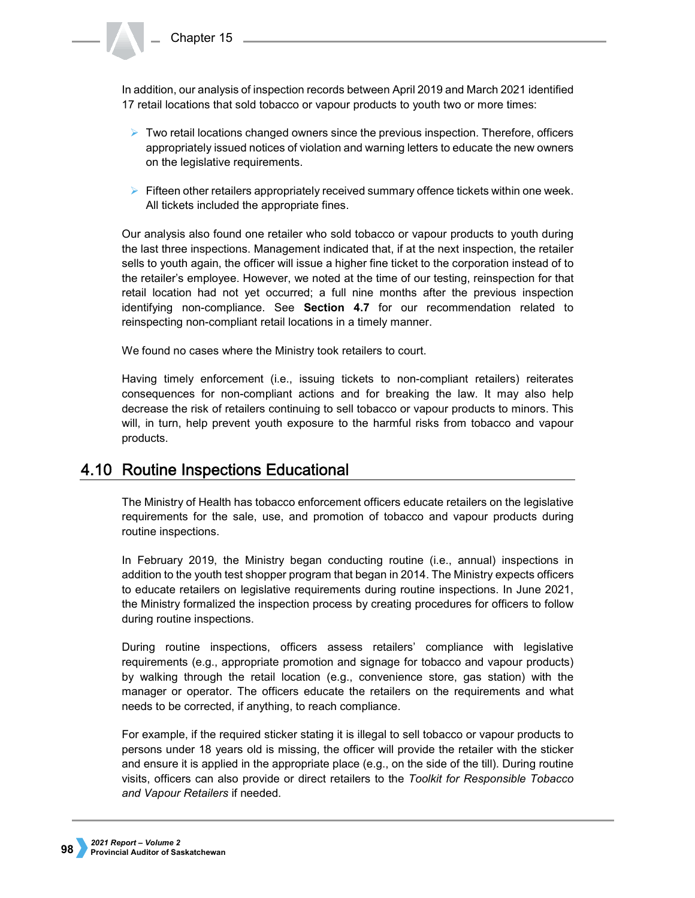In addition, our analysis of inspection records between April 2019 and March 2021 identified 17 retail locations that sold tobacco or vapour products to youth two or more times:

- $\triangleright$  Two retail locations changed owners since the previous inspection. Therefore, officers appropriately issued notices of violation and warning letters to educate the new owners on the legislative requirements.
- $\triangleright$  Fifteen other retailers appropriately received summary offence tickets within one week. All tickets included the appropriate fines.

Our analysis also found one retailer who sold tobacco or vapour products to youth during the last three inspections. Management indicated that, if at the next inspection, the retailer sells to youth again, the officer will issue a higher fine ticket to the corporation instead of to the retailer's employee. However, we noted at the time of our testing, reinspection for that retail location had not yet occurred; a full nine months after the previous inspection identifying non-compliance. See **Section 4.7** for our recommendation related to reinspecting non-compliant retail locations in a timely manner.

We found no cases where the Ministry took retailers to court.

Having timely enforcement (i.e., issuing tickets to non-compliant retailers) reiterates consequences for non-compliant actions and for breaking the law. It may also help decrease the risk of retailers continuing to sell tobacco or vapour products to minors. This will, in turn, help prevent youth exposure to the harmful risks from tobacco and vapour products.

# 4.10 Routine Inspections Educational

The Ministry of Health has tobacco enforcement officers educate retailers on the legislative requirements for the sale, use, and promotion of tobacco and vapour products during routine inspections.

In February 2019, the Ministry began conducting routine (i.e., annual) inspections in addition to the youth test shopper program that began in 2014. The Ministry expects officers to educate retailers on legislative requirements during routine inspections. In June 2021, the Ministry formalized the inspection process by creating procedures for officers to follow during routine inspections.

During routine inspections, officers assess retailers' compliance with legislative requirements (e.g., appropriate promotion and signage for tobacco and vapour products) by walking through the retail location (e.g., convenience store, gas station) with the manager or operator. The officers educate the retailers on the requirements and what needs to be corrected, if anything, to reach compliance.

For example, if the required sticker stating it is illegal to sell tobacco or vapour products to persons under 18 years old is missing, the officer will provide the retailer with the sticker and ensure it is applied in the appropriate place (e.g., on the side of the till). During routine visits, officers can also provide or direct retailers to the *Toolkit for Responsible Tobacco and Vapour Retailers* if needed.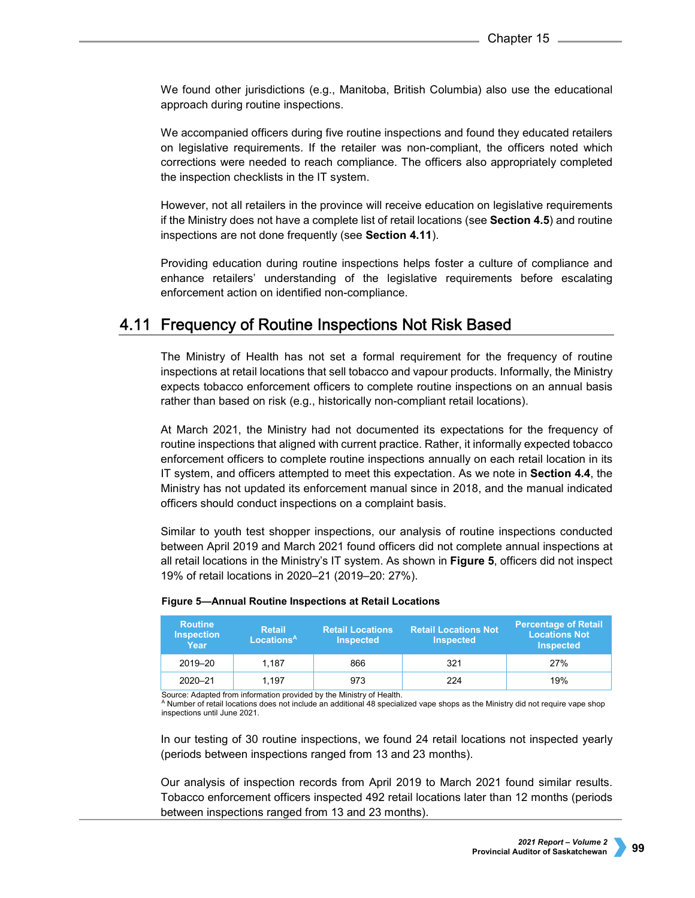We found other jurisdictions (e.g., Manitoba, British Columbia) also use the educational approach during routine inspections.

We accompanied officers during five routine inspections and found they educated retailers on legislative requirements. If the retailer was non-compliant, the officers noted which corrections were needed to reach compliance. The officers also appropriately completed the inspection checklists in the IT system.

However, not all retailers in the province will receive education on legislative requirements if the Ministry does not have a complete list of retail locations (see **Section 4.5**) and routine inspections are not done frequently (see **Section 4.11**).

Providing education during routine inspections helps foster a culture of compliance and enhance retailers' understanding of the legislative requirements before escalating enforcement action on identified non-compliance.

# 4.11 Frequency of Routine Inspections Not Risk Based

The Ministry of Health has not set a formal requirement for the frequency of routine inspections at retail locations that sell tobacco and vapour products. Informally, the Ministry expects tobacco enforcement officers to complete routine inspections on an annual basis rather than based on risk (e.g., historically non-compliant retail locations).

At March 2021, the Ministry had not documented its expectations for the frequency of routine inspections that aligned with current practice. Rather, it informally expected tobacco enforcement officers to complete routine inspections annually on each retail location in its IT system, and officers attempted to meet this expectation. As we note in **Section 4.4**, the Ministry has not updated its enforcement manual since in 2018, and the manual indicated officers should conduct inspections on a complaint basis.

Similar to youth test shopper inspections, our analysis of routine inspections conducted between April 2019 and March 2021 found officers did not complete annual inspections at all retail locations in the Ministry's IT system. As shown in **Figure 5**, officers did not inspect 19% of retail locations in 2020–21 (2019–20: 27%).

| <b>Routine</b><br><b>Inspection</b><br>Year | <b>Retail</b><br>Locations <sup>A</sup> | <b>Retail Locations</b><br><b>Inspected</b> | <b>Retail Locations Not</b><br><b>Inspected</b> | <b>Percentage of Retail</b><br><b>Locations Not</b><br><b>Inspected</b> |
|---------------------------------------------|-----------------------------------------|---------------------------------------------|-------------------------------------------------|-------------------------------------------------------------------------|
| 2019-20                                     | 1.187                                   | 866                                         | 321                                             | 27%                                                                     |
| $2020 - 21$                                 | 1.197                                   | 973                                         | 224                                             | 19%                                                                     |

## **Figure 5—Annual Routine Inspections at Retail Locations**

Source: Adapted from information provided by the Ministry of Health.

<sup>A</sup> Number of retail locations does not include an additional 48 specialized vape shops as the Ministry did not require vape shop inspections until June 2021.

In our testing of 30 routine inspections, we found 24 retail locations not inspected yearly (periods between inspections ranged from 13 and 23 months).

Our analysis of inspection records from April 2019 to March 2021 found similar results. Tobacco enforcement officers inspected 492 retail locations later than 12 months (periods between inspections ranged from 13 and 23 months).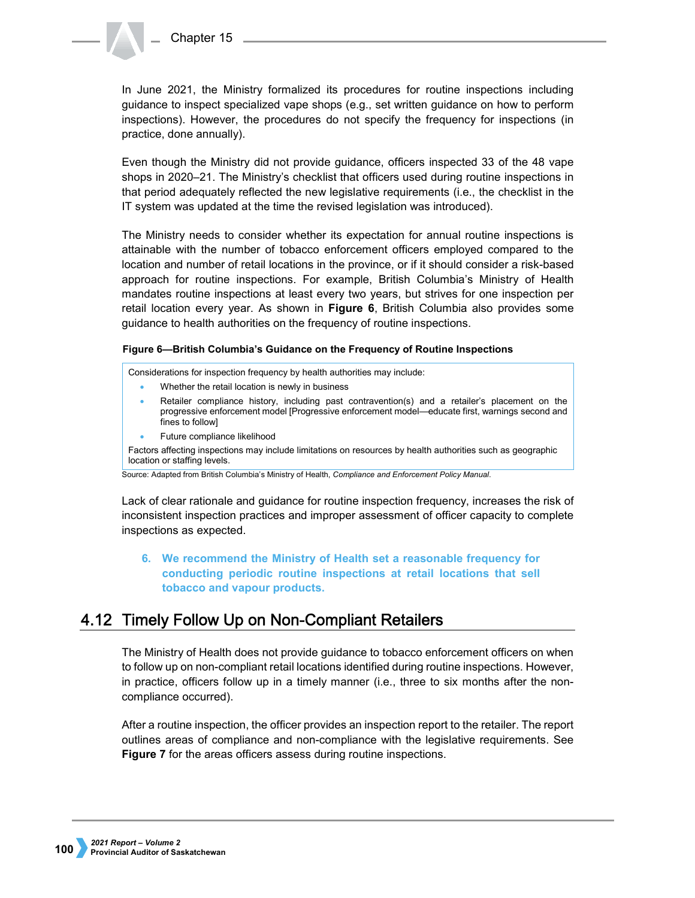In June 2021, the Ministry formalized its procedures for routine inspections including guidance to inspect specialized vape shops (e.g., set written guidance on how to perform inspections). However, the procedures do not specify the frequency for inspections (in practice, done annually).

Even though the Ministry did not provide guidance, officers inspected 33 of the 48 vape shops in 2020–21. The Ministry's checklist that officers used during routine inspections in that period adequately reflected the new legislative requirements (i.e., the checklist in the IT system was updated at the time the revised legislation was introduced).

The Ministry needs to consider whether its expectation for annual routine inspections is attainable with the number of tobacco enforcement officers employed compared to the location and number of retail locations in the province, or if it should consider a risk-based approach for routine inspections. For example, British Columbia's Ministry of Health mandates routine inspections at least every two years, but strives for one inspection per retail location every year. As shown in **Figure 6**, British Columbia also provides some guidance to health authorities on the frequency of routine inspections.

# **Figure 6—British Columbia's Guidance on the Frequency of Routine Inspections**

Considerations for inspection frequency by health authorities may include:

- Whether the retail location is newly in business
- Retailer compliance history, including past contravention(s) and a retailer's placement on the progressive enforcement model [Progressive enforcement model—educate first, warnings second and fines to follow]
- Future compliance likelihood

Factors affecting inspections may include limitations on resources by health authorities such as geographic location or staffing levels.

Source: Adapted from British Columbia's Ministry of Health, *Compliance and Enforcement Policy Manual*.

Lack of clear rationale and guidance for routine inspection frequency, increases the risk of inconsistent inspection practices and improper assessment of officer capacity to complete inspections as expected.

# **6. We recommend the Ministry of Health set a reasonable frequency for conducting periodic routine inspections at retail locations that sell tobacco and vapour products.**

# 4.12 Timely Follow Up on Non-Compliant Retailers

The Ministry of Health does not provide guidance to tobacco enforcement officers on when to follow up on non-compliant retail locations identified during routine inspections. However, in practice, officers follow up in a timely manner (i.e., three to six months after the noncompliance occurred).

After a routine inspection, the officer provides an inspection report to the retailer. The report outlines areas of compliance and non-compliance with the legislative requirements. See **Figure 7** for the areas officers assess during routine inspections.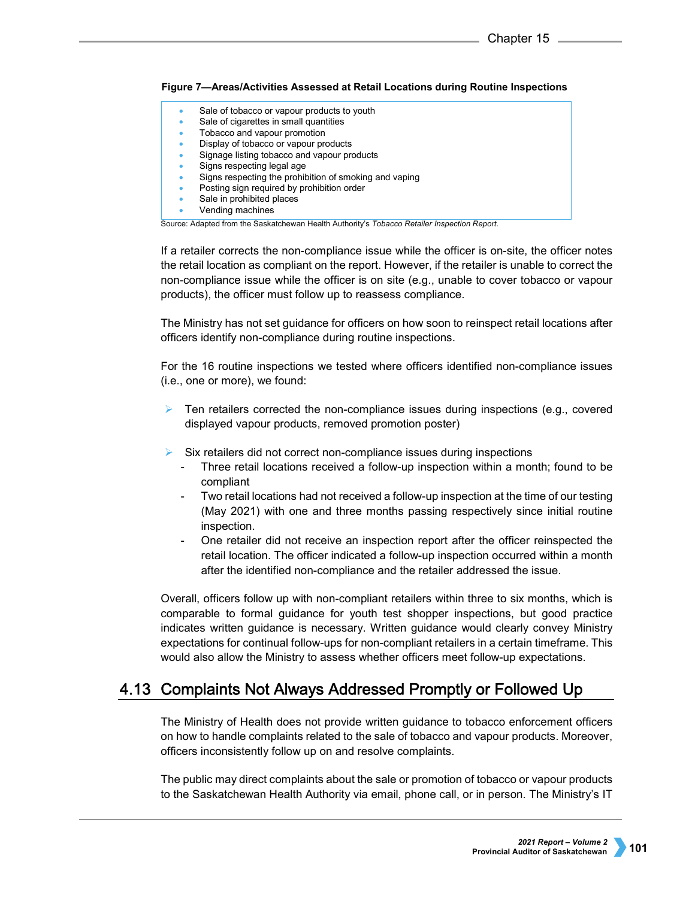# **Figure 7—Areas/Activities Assessed at Retail Locations during Routine Inspections**

- Sale of tobacco or vapour products to youth
- Sale of cigarettes in small quantities
- Tobacco and vapour promotion
- Display of tobacco or vapour products • Signage listing tobacco and vapour products
- Signs respecting legal age
- Signs respecting the prohibition of smoking and vaping
- Posting sign required by prohibition order
- Sale in prohibited places
- Vending machines

Source: Adapted from the Saskatchewan Health Authority's *Tobacco Retailer Inspection Report*.

If a retailer corrects the non-compliance issue while the officer is on-site, the officer notes the retail location as compliant on the report. However, if the retailer is unable to correct the non-compliance issue while the officer is on site (e.g., unable to cover tobacco or vapour products), the officer must follow up to reassess compliance.

The Ministry has not set guidance for officers on how soon to reinspect retail locations after officers identify non-compliance during routine inspections.

For the 16 routine inspections we tested where officers identified non-compliance issues (i.e., one or more), we found:

- Ten retailers corrected the non-compliance issues during inspections (e.g., covered displayed vapour products, removed promotion poster)
- Six retailers did not correct non-compliance issues during inspections
	- Three retail locations received a follow-up inspection within a month; found to be compliant
	- Two retail locations had not received a follow-up inspection at the time of our testing (May 2021) with one and three months passing respectively since initial routine inspection.
	- One retailer did not receive an inspection report after the officer reinspected the retail location. The officer indicated a follow-up inspection occurred within a month after the identified non-compliance and the retailer addressed the issue.

Overall, officers follow up with non-compliant retailers within three to six months, which is comparable to formal guidance for youth test shopper inspections, but good practice indicates written guidance is necessary. Written guidance would clearly convey Ministry expectations for continual follow-ups for non-compliant retailers in a certain timeframe. This would also allow the Ministry to assess whether officers meet follow-up expectations.

# 4.13 Complaints Not Always Addressed Promptly or Followed Up

The Ministry of Health does not provide written guidance to tobacco enforcement officers on how to handle complaints related to the sale of tobacco and vapour products. Moreover, officers inconsistently follow up on and resolve complaints.

The public may direct complaints about the sale or promotion of tobacco or vapour products to the Saskatchewan Health Authority via email, phone call, or in person. The Ministry's IT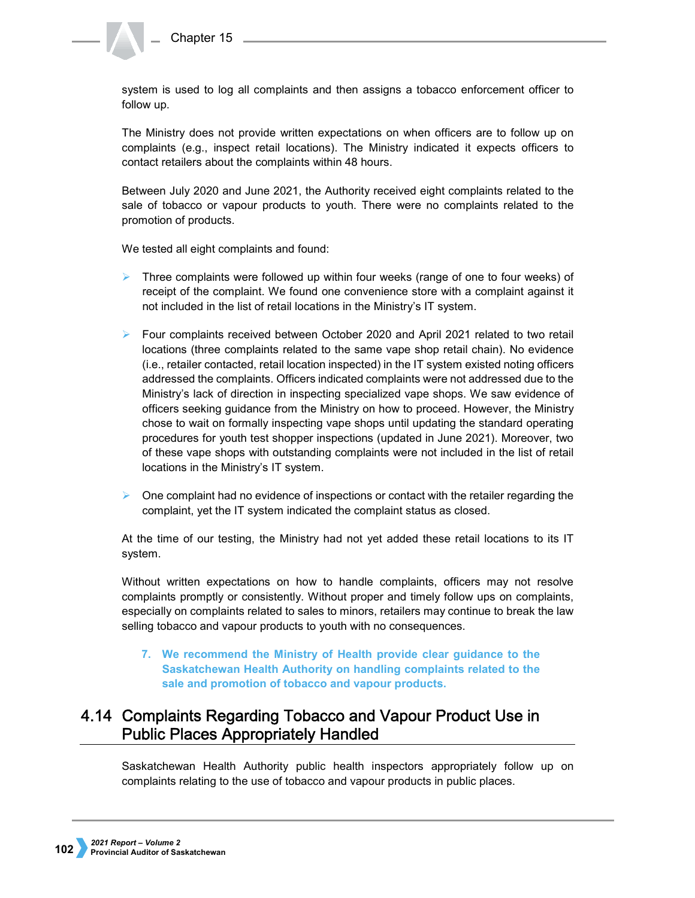system is used to log all complaints and then assigns a tobacco enforcement officer to follow up.

The Ministry does not provide written expectations on when officers are to follow up on complaints (e.g., inspect retail locations). The Ministry indicated it expects officers to contact retailers about the complaints within 48 hours.

Between July 2020 and June 2021, the Authority received eight complaints related to the sale of tobacco or vapour products to youth. There were no complaints related to the promotion of products.

We tested all eight complaints and found:

- $\triangleright$  Three complaints were followed up within four weeks (range of one to four weeks) of receipt of the complaint. We found one convenience store with a complaint against it not included in the list of retail locations in the Ministry's IT system.
- $\triangleright$  Four complaints received between October 2020 and April 2021 related to two retail locations (three complaints related to the same vape shop retail chain). No evidence (i.e., retailer contacted, retail location inspected) in the IT system existed noting officers addressed the complaints. Officers indicated complaints were not addressed due to the Ministry's lack of direction in inspecting specialized vape shops. We saw evidence of officers seeking guidance from the Ministry on how to proceed. However, the Ministry chose to wait on formally inspecting vape shops until updating the standard operating procedures for youth test shopper inspections (updated in June 2021). Moreover, two of these vape shops with outstanding complaints were not included in the list of retail locations in the Ministry's IT system.
- $\triangleright$  One complaint had no evidence of inspections or contact with the retailer regarding the complaint, yet the IT system indicated the complaint status as closed.

At the time of our testing, the Ministry had not yet added these retail locations to its IT system.

Without written expectations on how to handle complaints, officers may not resolve complaints promptly or consistently. Without proper and timely follow ups on complaints, especially on complaints related to sales to minors, retailers may continue to break the law selling tobacco and vapour products to youth with no consequences.

**7. We recommend the Ministry of Health provide clear guidance to the Saskatchewan Health Authority on handling complaints related to the sale and promotion of tobacco and vapour products.**

# 4.14 Complaints Regarding Tobacco and Vapour Product Use in **Public Places Appropriately Handled**

Saskatchewan Health Authority public health inspectors appropriately follow up on complaints relating to the use of tobacco and vapour products in public places.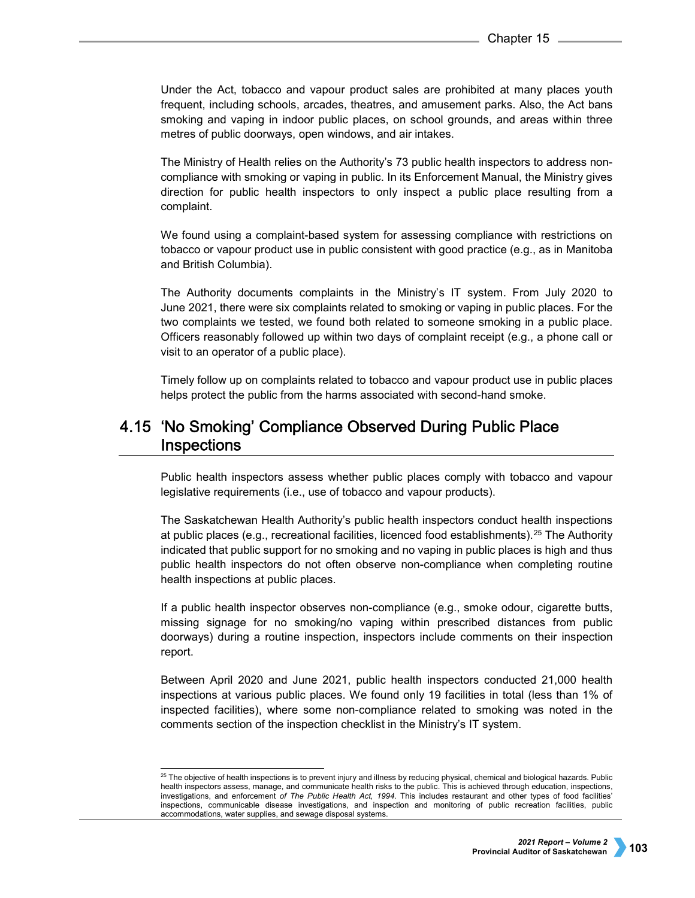Under the Act, tobacco and vapour product sales are prohibited at many places youth frequent, including schools, arcades, theatres, and amusement parks. Also, the Act bans smoking and vaping in indoor public places, on school grounds, and areas within three metres of public doorways, open windows, and air intakes.

The Ministry of Health relies on the Authority's 73 public health inspectors to address noncompliance with smoking or vaping in public. In its Enforcement Manual, the Ministry gives direction for public health inspectors to only inspect a public place resulting from a complaint.

We found using a complaint-based system for assessing compliance with restrictions on tobacco or vapour product use in public consistent with good practice (e.g., as in Manitoba and British Columbia).

The Authority documents complaints in the Ministry's IT system. From July 2020 to June 2021, there were six complaints related to smoking or vaping in public places. For the two complaints we tested, we found both related to someone smoking in a public place. Officers reasonably followed up within two days of complaint receipt (e.g., a phone call or visit to an operator of a public place).

Timely follow up on complaints related to tobacco and vapour product use in public places helps protect the public from the harms associated with second-hand smoke.

# 4.15 'No Smoking' Compliance Observed During Public Place **Inspections**

Public health inspectors assess whether public places comply with tobacco and vapour legislative requirements (i.e., use of tobacco and vapour products).

The Saskatchewan Health Authority's public health inspectors conduct health inspections at public places (e.g., recreational facilities, licenced food establishments).[25](#page-18-0) The Authority indicated that public support for no smoking and no vaping in public places is high and thus public health inspectors do not often observe non-compliance when completing routine health inspections at public places.

If a public health inspector observes non-compliance (e.g., smoke odour, cigarette butts, missing signage for no smoking/no vaping within prescribed distances from public doorways) during a routine inspection, inspectors include comments on their inspection report.

Between April 2020 and June 2021, public health inspectors conducted 21,000 health inspections at various public places. We found only 19 facilities in total (less than 1% of inspected facilities), where some non-compliance related to smoking was noted in the comments section of the inspection checklist in the Ministry's IT system.

<span id="page-18-0"></span><sup>&</sup>lt;sup>25</sup> The objective of health inspections is to prevent injury and illness by reducing physical, chemical and biological hazards. Public health inspectors assess, manage, and communicate health risks to the public. This is achieved through education, inspections, investigations, and enforcement *of The Public Health Act, 1994*. This includes restaurant and other types of food facilities' inspections, communicable disease investigations, and inspection and monitoring of public recreation facilities, public accommodations, water supplies, and sewage disposal systems.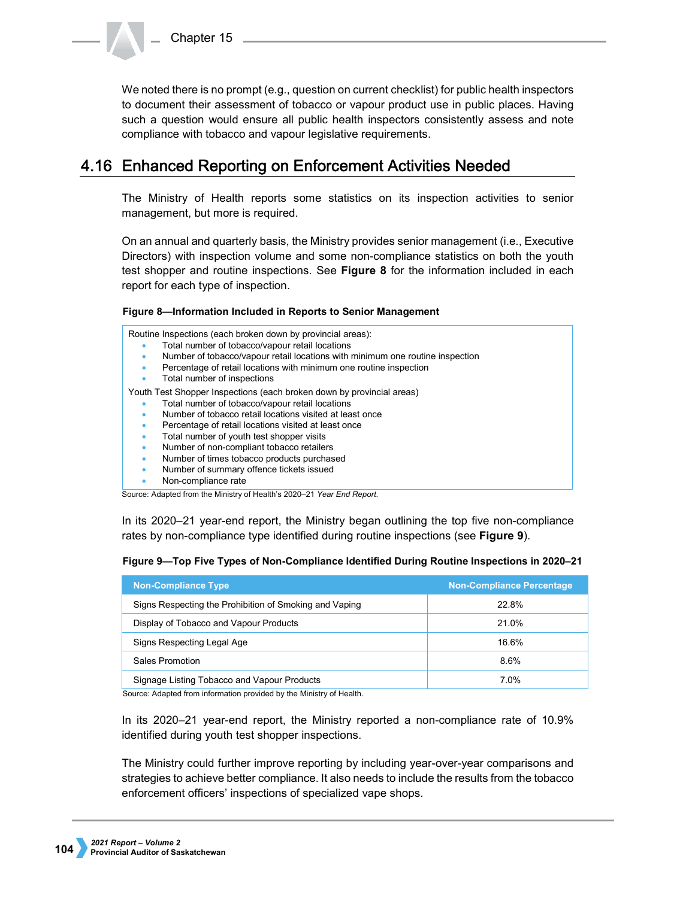Chapter 15

We noted there is no prompt (e.g., question on current checklist) for public health inspectors to document their assessment of tobacco or vapour product use in public places. Having such a question would ensure all public health inspectors consistently assess and note compliance with tobacco and vapour legislative requirements.

# 4.16 Enhanced Reporting on Enforcement Activities Needed

The Ministry of Health reports some statistics on its inspection activities to senior management, but more is required.

On an annual and quarterly basis, the Ministry provides senior management (i.e., Executive Directors) with inspection volume and some non-compliance statistics on both the youth test shopper and routine inspections. See **Figure 8** for the information included in each report for each type of inspection.

## **Figure 8—Information Included in Reports to Senior Management**

Routine Inspections (each broken down by provincial areas): • Total number of tobacco/vapour retail locations • Number of tobacco/vapour retail locations with minimum one routine inspection • Percentage of retail locations with minimum one routine inspection • Total number of inspections Youth Test Shopper Inspections (each broken down by provincial areas) • Total number of tobacco/vapour retail locations • Number of tobacco retail locations visited at least once Percentage of retail locations visited at least once • Total number of youth test shopper visits • Number of non-compliant tobacco retailers • Number of times tobacco products purchased • Number of summary offence tickets issued • Non-compliance rate

Source: Adapted from the Ministry of Health's 2020–21 *Year End Report*.

In its 2020–21 year-end report, the Ministry began outlining the top five non-compliance rates by non-compliance type identified during routine inspections (see **Figure 9**).

|  |  |  |  | Figure 9-Top Five Types of Non-Compliance Identified During Routine Inspections in 2020-21 |  |
|--|--|--|--|--------------------------------------------------------------------------------------------|--|
|  |  |  |  |                                                                                            |  |

| <b>Non-Compliance Type</b>                             | <b>Non-Compliance Percentage</b> |  |  |
|--------------------------------------------------------|----------------------------------|--|--|
| Signs Respecting the Prohibition of Smoking and Vaping | 22.8%                            |  |  |
| Display of Tobacco and Vapour Products                 | 21.0%                            |  |  |
| Signs Respecting Legal Age                             | 16.6%                            |  |  |
| Sales Promotion                                        | 8.6%                             |  |  |
| Signage Listing Tobacco and Vapour Products            | 7.0%                             |  |  |

Source: Adapted from information provided by the Ministry of Health.

In its 2020–21 year-end report, the Ministry reported a non-compliance rate of 10.9% identified during youth test shopper inspections.

The Ministry could further improve reporting by including year-over-year comparisons and strategies to achieve better compliance. It also needs to include the results from the tobacco enforcement officers' inspections of specialized vape shops.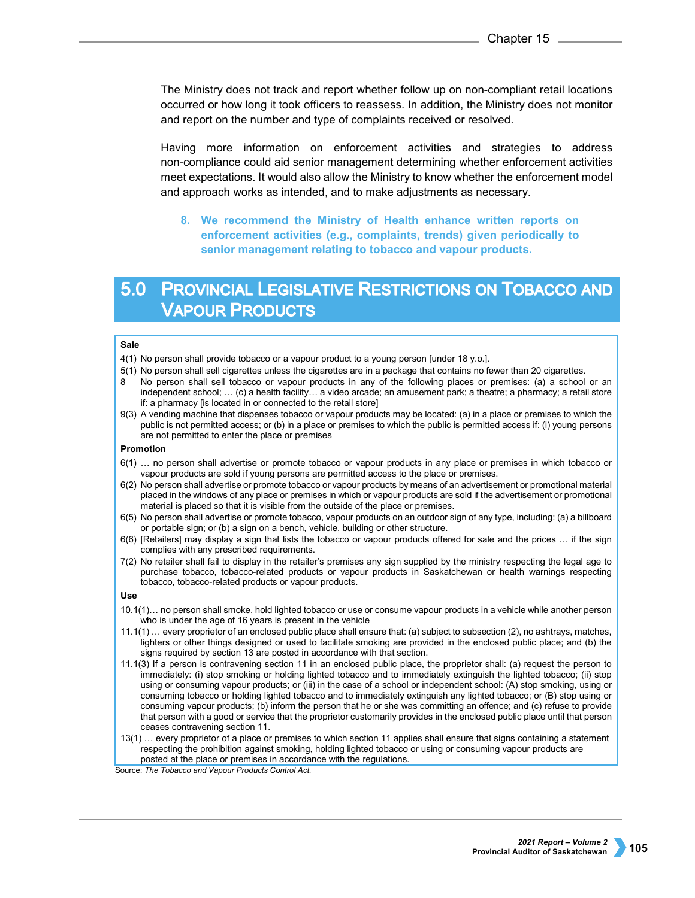The Ministry does not track and report whether follow up on non-compliant retail locations occurred or how long it took officers to reassess. In addition, the Ministry does not monitor and report on the number and type of complaints received or resolved.

Having more information on enforcement activities and strategies to address non-compliance could aid senior management determining whether enforcement activities meet expectations. It would also allow the Ministry to know whether the enforcement model and approach works as intended, and to make adjustments as necessary.

**8. We recommend the Ministry of Health enhance written reports on enforcement activities (e.g., complaints, trends) given periodically to senior management relating to tobacco and vapour products.**

# 5.0 PROVINCIAL LEGISLATIVE RESTRICTIONS ON TOBACCO AND **VAPOUR PRODUCTS**

### **Sale**

- 4(1) No person shall provide tobacco or a vapour product to a young person [under 18 y.o.].
- 5(1) No person shall sell cigarettes unless the cigarettes are in a package that contains no fewer than 20 cigarettes.
- 8 No person shall sell tobacco or vapour products in any of the following places or premises: (a) a school or an independent school; … (c) a health facility… a video arcade; an amusement park; a theatre; a pharmacy; a retail store if: a pharmacy [is located in or connected to the retail store]
- 9(3) A vending machine that dispenses tobacco or vapour products may be located: (a) in a place or premises to which the public is not permitted access; or (b) in a place or premises to which the public is permitted access if: (i) young persons are not permitted to enter the place or premises

### **Promotion**

- 6(1) … no person shall advertise or promote tobacco or vapour products in any place or premises in which tobacco or vapour products are sold if young persons are permitted access to the place or premises.
- 6(2) No person shall advertise or promote tobacco or vapour products by means of an advertisement or promotional material placed in the windows of any place or premises in which or vapour products are sold if the advertisement or promotional material is placed so that it is visible from the outside of the place or premises.
- 6(5) No person shall advertise or promote tobacco, vapour products on an outdoor sign of any type, including: (a) a billboard or portable sign; or (b) a sign on a bench, vehicle, building or other structure.
- 6(6) [Retailers] may display a sign that lists the tobacco or vapour products offered for sale and the prices … if the sign complies with any prescribed requirements.
- 7(2) No retailer shall fail to display in the retailer's premises any sign supplied by the ministry respecting the legal age to purchase tobacco, tobacco-related products or vapour products in Saskatchewan or health warnings respecting tobacco, tobacco-related products or vapour products.

### **Use**

- 10.1(1)… no person shall smoke, hold lighted tobacco or use or consume vapour products in a vehicle while another person who is under the age of 16 years is present in the vehicle
- 11.1(1) … every proprietor of an enclosed public place shall ensure that: (a) subject to subsection (2), no ashtrays, matches, lighters or other things designed or used to facilitate smoking are provided in the enclosed public place; and (b) the signs required by section 13 are posted in accordance with that section.
- 11.1(3) If a person is contravening section 11 in an enclosed public place, the proprietor shall: (a) request the person to immediately: (i) stop smoking or holding lighted tobacco and to immediately extinguish the lighted tobacco; (ii) stop using or consuming vapour products; or (iii) in the case of a school or independent school: (A) stop smoking, using or consuming tobacco or holding lighted tobacco and to immediately extinguish any lighted tobacco; or (B) stop using or consuming vapour products; (b) inform the person that he or she was committing an offence; and (c) refuse to provide that person with a good or service that the proprietor customarily provides in the enclosed public place until that person ceases contravening section 11.
- 13(1) … every proprietor of a place or premises to which section 11 applies shall ensure that signs containing a statement respecting the prohibition against smoking, holding lighted tobacco or using or consuming vapour products are posted at the place or premises in accordance with the regulations.

Source: *The Tobacco and Vapour Products Control Act.*